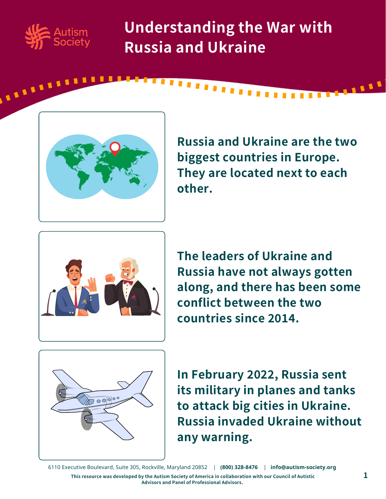

**ALLELLED** 

**Understanding the War with Russia and Ukraine**



**Russia and Ukraine are the two biggest countries in Europe. They are located next to each other.**



**The leaders of Ukraine and Russia have not always gotten along, and there has been some conflict between the two countries since 2014.**



**In February 2022, Russia sent its military in planes and tanks to attack big cities in Ukraine. Russia invaded Ukraine without any warning.**

6110 Executive Boulevard, Suite 305, Rockville, Maryland 20852 | **(800) 328-8476** | **[info@autism-society.org](https://autismsociety.org/)**

This resource was developed by the Autism Society of America in collaboration with our Council of Autistic  $\bf 1$ **Advisors and Panel of Professional Advisors.**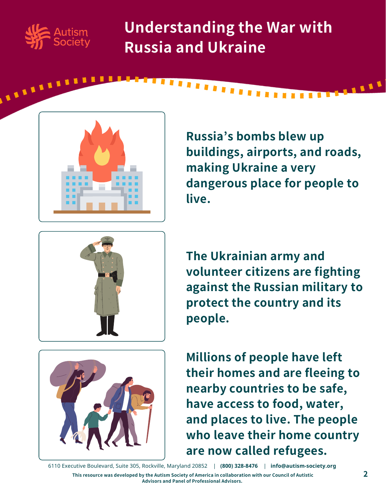

**ARABASH** 

**Understanding the War with Russia and Ukraine**



**Russia's bombs blew up buildings, airports, and roads, making Ukraine a very dangerous place for people to live.**



**The Ukrainian army and volunteer citizens are fighting against the Russian military to protect the country and its people.**



**Millions of people have left their homes and are fleeing to nearby countries to be safe, have access to food, water, and places to live. The people who leave their home country are now called refugees.**

6110 Executive Boulevard, Suite 305, Rockville, Maryland 20852 | **(800) 328-8476** | **[info@autism-society.org](https://autismsociety.org/)**

This resource was developed by the Autism Society of America in collaboration with our Council of Autistic **Advisors and Panel of Professional Advisors.**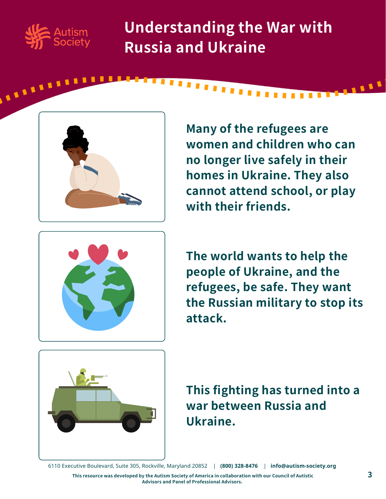

**ALLELLE** 

**Understanding the War with Russia and Ukraine**

,,,,,,,,,,



**Many of the refugees are women and children who can no longer live safely in their homes in Ukraine. They also cannot attend school, or play with their friends.**



**The world wants to help the people of Ukraine, and the refugees, be safe. They want the Russian military to stop its attack.**



**This fighting has turned into a war between Russia and Ukraine.**

6110 Executive Boulevard, Suite 305, Rockville, Maryland 20852 | **(800) 328-8476** | **[info@autism-society.org](https://autismsociety.org/)**

This resource was developed by the Autism Society of America in collaboration with our Council of Autistic **Advisors and Panel of Professional Advisors.**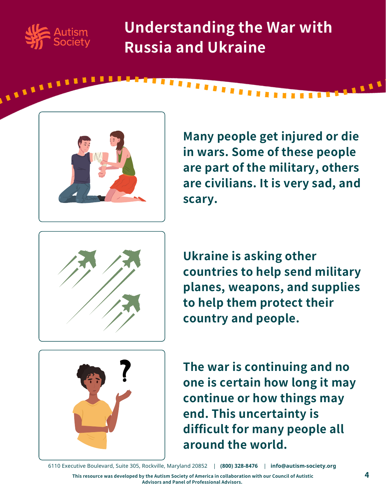

**ALLELLE** 

**Understanding the War with Russia and Ukraine**

,,,,,,,,,



**Many people get injured or die in wars. Some of these people are part of the military, others are civilians. It is very sad, and scary.**



**Ukraine is asking other countries to help send military planes, weapons, and supplies to help them protect their country and people.**



**The war is continuing and no one is certain how long it may continue or how things may end. This uncertainty is difficult for many people all around the world.**

6110 Executive Boulevard, Suite 305, Rockville, Maryland 20852 | **(800) 328-8476** | **[info@autism-society.org](https://autismsociety.org/)**

This resource was developed by the Autism Society of America in collaboration with our Council of Autistic **Advisors and Panel of Professional Advisors.**